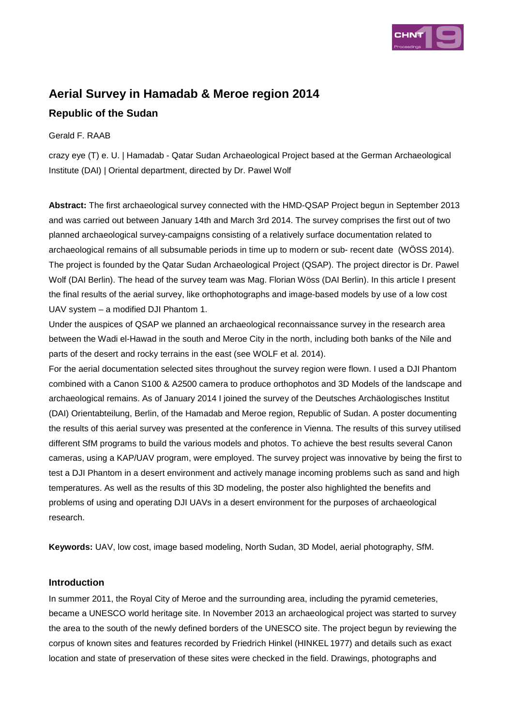

# **Aerial Survey in Hamadab & Meroe region 2014**

# **Republic of the Sudan**

# Gerald F. RAAB

crazy eye (T) e. U. | Hamadab - Qatar Sudan Archaeological Project based at the German Archaeological Institute (DAI) | Oriental department, directed by Dr. Pawel Wolf

**Abstract:** The first archaeological survey connected with the HMD-QSAP Project begun in September 2013 and was carried out between January 14th and March 3rd 2014. The survey comprises the first out of two planned archaeological survey-campaigns consisting of a relatively surface documentation related to archaeological remains of all subsumable periods in time up to modern or sub- recent date (WÖSS 2014). The project is founded by the Qatar Sudan Archaeological Project (QSAP). The project director is Dr. Pawel Wolf (DAI Berlin). The head of the survey team was Mag. Florian Wöss (DAI Berlin). In this article I present the final results of the aerial survey, like orthophotographs and image-based models by use of a low cost UAV system – a modified DJI Phantom 1.

Under the auspices of QSAP we planned an archaeological reconnaissance survey in the research area between the Wadi el-Hawad in the south and Meroe City in the north, including both banks of the Nile and parts of the desert and rocky terrains in the east (see WOLF et al. 2014).

For the aerial documentation selected sites throughout the survey region were flown. I used a DJI Phantom combined with a Canon S100 & A2500 camera to produce orthophotos and 3D Models of the landscape and archaeological remains. As of January 2014 I joined the survey of the Deutsches Archäologisches Institut (DAI) Orientabteilung, Berlin, of the Hamadab and Meroe region, Republic of Sudan. A poster documenting the results of this aerial survey was presented at the conference in Vienna. The results of this survey utilised different SfM programs to build the various models and photos. To achieve the best results several Canon cameras, using a KAP/UAV program, were employed. The survey project was innovative by being the first to test a DJI Phantom in a desert environment and actively manage incoming problems such as sand and high temperatures. As well as the results of this 3D modeling, the poster also highlighted the benefits and problems of using and operating DJI UAVs in a desert environment for the purposes of archaeological research.

**Keywords:** UAV, low cost, image based modeling, North Sudan, 3D Model, aerial photography, SfM.

# **Introduction**

In summer 2011, the Royal City of Meroe and the surrounding area, including the pyramid cemeteries, became a UNESCO world heritage site. In November 2013 an archaeological project was started to survey the area to the south of the newly defined borders of the UNESCO site. The project begun by reviewing the corpus of known sites and features recorded by Friedrich Hinkel (HINKEL 1977) and details such as exact location and state of preservation of these sites were checked in the field. Drawings, photographs and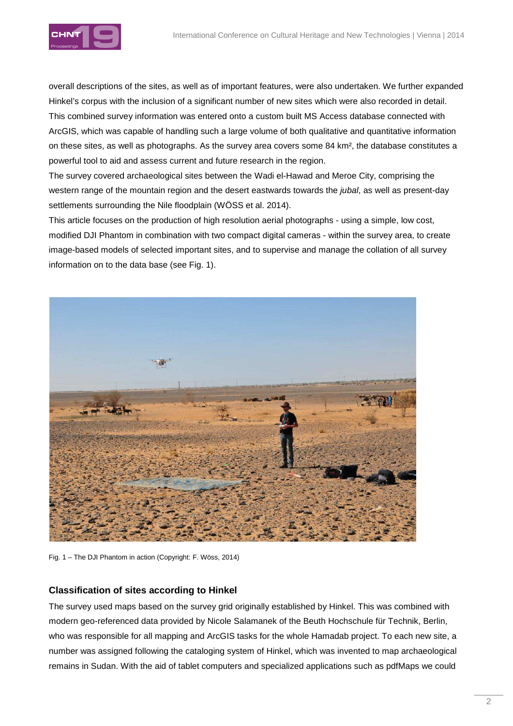

overall descriptions of the sites, as well as of important features, were also undertaken. We further expanded Hinkel's corpus with the inclusion of a significant number of new sites which were also recorded in detail. This combined survey information was entered onto a custom built MS Access database connected with ArcGIS, which was capable of handling such a large volume of both qualitative and quantitative information on these sites, as well as photographs. As the survey area covers some 84 km², the database constitutes a powerful tool to aid and assess current and future research in the region.

The survey covered archaeological sites between the Wadi el-Hawad and Meroe City, comprising the western range of the mountain region and the desert eastwards towards the jubal, as well as present-day settlements surrounding the Nile floodplain (WÖSS et al. 2014).

This article focuses on the production of high resolution aerial photographs - using a simple, low cost, modified DJI Phantom in combination with two compact digital cameras - within the survey area, to create image-based models of selected important sites, and to supervise and manage the collation of all survey information on to the data base (see Fig. 1).



Fig. 1 – The DJI Phantom in action (Copyright: F. Wöss, 2014)

### **Classification of sites according to Hinkel**

The survey used maps based on the survey grid originally established by Hinkel. This was combined with modern geo-referenced data provided by Nicole Salamanek of the Beuth Hochschule für Technik, Berlin, who was responsible for all mapping and ArcGIS tasks for the whole Hamadab project. To each new site, a number was assigned following the cataloging system of Hinkel, which was invented to map archaeological remains in Sudan. With the aid of tablet computers and specialized applications such as pdfMaps we could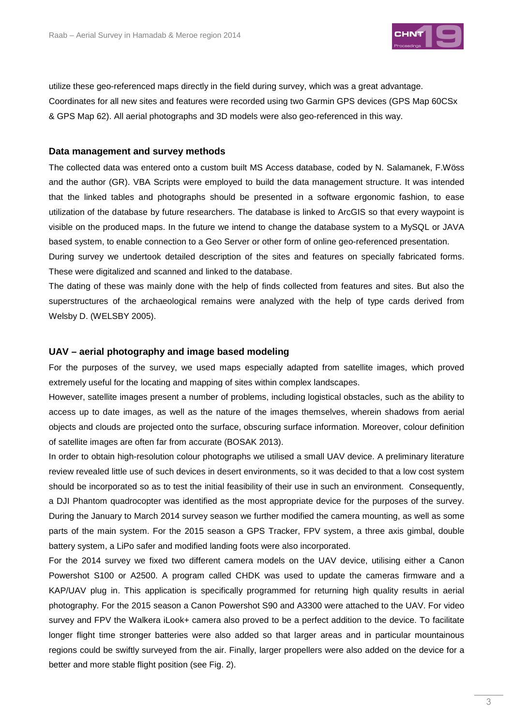

utilize these geo-referenced maps directly in the field during survey, which was a great advantage. Coordinates for all new sites and features were recorded using two Garmin GPS devices (GPS Map 60CSx & GPS Map 62). All aerial photographs and 3D models were also geo-referenced in this way.

#### **Data management and survey methods**

The collected data was entered onto a custom built MS Access database, coded by N. Salamanek, F.Wöss and the author (GR). VBA Scripts were employed to build the data management structure. It was intended that the linked tables and photographs should be presented in a software ergonomic fashion, to ease utilization of the database by future researchers. The database is linked to ArcGIS so that every waypoint is visible on the produced maps. In the future we intend to change the database system to a MySQL or JAVA based system, to enable connection to a Geo Server or other form of online geo-referenced presentation.

During survey we undertook detailed description of the sites and features on specially fabricated forms. These were digitalized and scanned and linked to the database.

The dating of these was mainly done with the help of finds collected from features and sites. But also the superstructures of the archaeological remains were analyzed with the help of type cards derived from Welsby D. (WELSBY 2005).

#### **UAV – aerial photography and image based modeling**

For the purposes of the survey, we used maps especially adapted from satellite images, which proved extremely useful for the locating and mapping of sites within complex landscapes.

However, satellite images present a number of problems, including logistical obstacles, such as the ability to access up to date images, as well as the nature of the images themselves, wherein shadows from aerial objects and clouds are projected onto the surface, obscuring surface information. Moreover, colour definition of satellite images are often far from accurate (BOSAK 2013).

In order to obtain high-resolution colour photographs we utilised a small UAV device. A preliminary literature review revealed little use of such devices in desert environments, so it was decided to that a low cost system should be incorporated so as to test the initial feasibility of their use in such an environment. Consequently, a DJI Phantom quadrocopter was identified as the most appropriate device for the purposes of the survey. During the January to March 2014 survey season we further modified the camera mounting, as well as some parts of the main system. For the 2015 season a GPS Tracker, FPV system, a three axis gimbal, double battery system, a LiPo safer and modified landing foots were also incorporated.

For the 2014 survey we fixed two different camera models on the UAV device, utilising either a Canon Powershot S100 or A2500. A program called CHDK was used to update the cameras firmware and a KAP/UAV plug in. This application is specifically programmed for returning high quality results in aerial photography. For the 2015 season a Canon Powershot S90 and A3300 were attached to the UAV. For video survey and FPV the Walkera iLook+ camera also proved to be a perfect addition to the device. To facilitate longer flight time stronger batteries were also added so that larger areas and in particular mountainous regions could be swiftly surveyed from the air. Finally, larger propellers were also added on the device for a better and more stable flight position (see Fig. 2).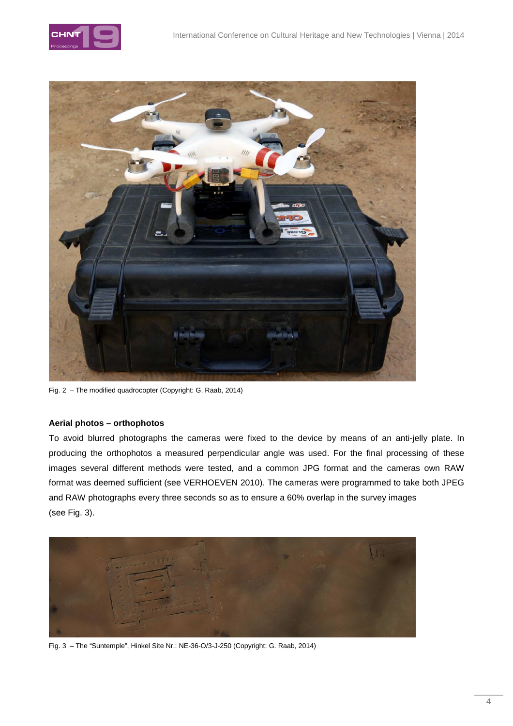



Fig. 2 – The modified quadrocopter (Copyright: G. Raab, 2014)

#### **Aerial photos – orthophotos**

To avoid blurred photographs the cameras were fixed to the device by means of an anti-jelly plate. In producing the orthophotos a measured perpendicular angle was used. For the final processing of these images several different methods were tested, and a common JPG format and the cameras own RAW format was deemed sufficient (see VERHOEVEN 2010). The cameras were programmed to take both JPEG and RAW photographs every three seconds so as to ensure a 60% overlap in the survey images (see Fig. 3).



Fig. 3 – The "Suntemple", Hinkel Site Nr.: NE-36-O/3-J-250 (Copyright: G. Raab, 2014)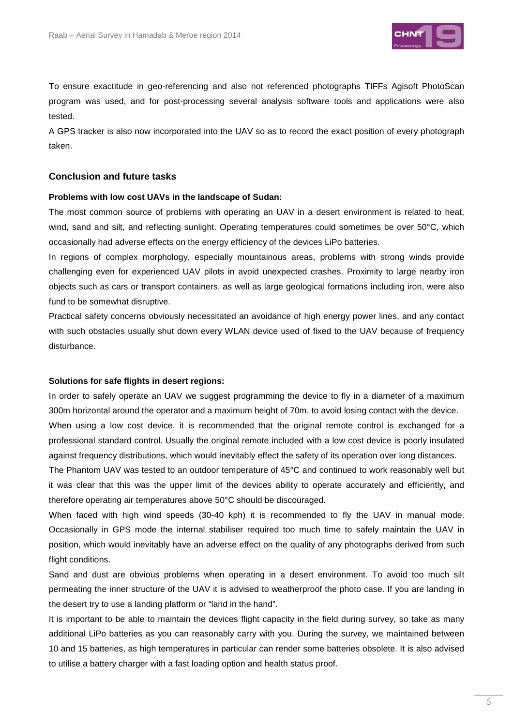

To ensure exactitude in geo-referencing and also not referenced photographs TIFFs Agisoft PhotoScan program was used, and for post-processing several analysis software tools and applications were also tested.

A GPS tracker is also now incorporated into the UAV so as to record the exact position of every photograph taken.

#### **Conclusion and future tasks**

#### **Problems with low cost UAVs in the landscape of Sudan:**

The most common source of problems with operating an UAV in a desert environment is related to heat, wind, sand and silt, and reflecting sunlight. Operating temperatures could sometimes be over 50°C, which occasionally had adverse effects on the energy efficiency of the devices LiPo batteries.

In regions of complex morphology, especially mountainous areas, problems with strong winds provide challenging even for experienced UAV pilots in avoid unexpected crashes. Proximity to large nearby iron objects such as cars or transport containers, as well as large geological formations including iron, were also fund to be somewhat disruptive.

Practical safety concerns obviously necessitated an avoidance of high energy power lines, and any contact with such obstacles usually shut down every WLAN device used of fixed to the UAV because of frequency disturbance.

#### **Solutions for safe flights in desert regions:**

In order to safely operate an UAV we suggest programming the device to fly in a diameter of a maximum 300m horizontal around the operator and a maximum height of 70m, to avoid losing contact with the device. When using a low cost device, it is recommended that the original remote control is exchanged for a professional standard control. Usually the original remote included with a low cost device is poorly insulated against frequency distributions, which would inevitably effect the safety of its operation over long distances.

The Phantom UAV was tested to an outdoor temperature of 45°C and continued to work reasonably well but it was clear that this was the upper limit of the devices ability to operate accurately and efficiently, and therefore operating air temperatures above 50°C should be discouraged.

When faced with high wind speeds (30-40 kph) it is recommended to fly the UAV in manual mode. Occasionally in GPS mode the internal stabiliser required too much time to safely maintain the UAV in position, which would inevitably have an adverse effect on the quality of any photographs derived from such flight conditions.

Sand and dust are obvious problems when operating in a desert environment. To avoid too much silt permeating the inner structure of the UAV it is advised to weatherproof the photo case. If you are landing in the desert try to use a landing platform or "land in the hand".

It is important to be able to maintain the devices flight capacity in the field during survey, so take as many additional LiPo batteries as you can reasonably carry with you. During the survey, we maintained between 10 and 15 batteries, as high temperatures in particular can render some batteries obsolete. It is also advised to utilise a battery charger with a fast loading option and health status proof.